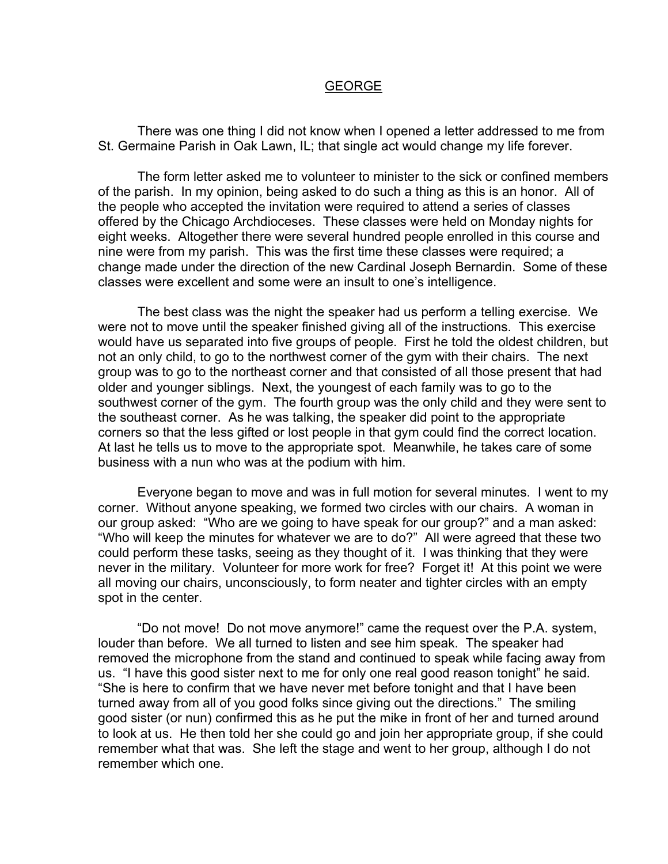## GEORGE

 There was one thing I did not know when I opened a letter addressed to me from St. Germaine Parish in Oak Lawn, IL; that single act would change my life forever.

 The form letter asked me to volunteer to minister to the sick or confined members of the parish. In my opinion, being asked to do such a thing as this is an honor. All of the people who accepted the invitation were required to attend a series of classes offered by the Chicago Archdioceses. These classes were held on Monday nights for eight weeks. Altogether there were several hundred people enrolled in this course and nine were from my parish. This was the first time these classes were required; a change made under the direction of the new Cardinal Joseph Bernardin. Some of these classes were excellent and some were an insult to one's intelligence.

 The best class was the night the speaker had us perform a telling exercise. We were not to move until the speaker finished giving all of the instructions. This exercise would have us separated into five groups of people. First he told the oldest children, but not an only child, to go to the northwest corner of the gym with their chairs. The next group was to go to the northeast corner and that consisted of all those present that had older and younger siblings. Next, the youngest of each family was to go to the southwest corner of the gym. The fourth group was the only child and they were sent to the southeast corner. As he was talking, the speaker did point to the appropriate corners so that the less gifted or lost people in that gym could find the correct location. At last he tells us to move to the appropriate spot. Meanwhile, he takes care of some business with a nun who was at the podium with him.

 Everyone began to move and was in full motion for several minutes. I went to my corner. Without anyone speaking, we formed two circles with our chairs. A woman in our group asked: "Who are we going to have speak for our group?" and a man asked: "Who will keep the minutes for whatever we are to do?" All were agreed that these two could perform these tasks, seeing as they thought of it. I was thinking that they were never in the military. Volunteer for more work for free? Forget it! At this point we were all moving our chairs, unconsciously, to form neater and tighter circles with an empty spot in the center.

 "Do not move! Do not move anymore!" came the request over the P.A. system, louder than before. We all turned to listen and see him speak. The speaker had removed the microphone from the stand and continued to speak while facing away from us. "I have this good sister next to me for only one real good reason tonight" he said. "She is here to confirm that we have never met before tonight and that I have been turned away from all of you good folks since giving out the directions." The smiling good sister (or nun) confirmed this as he put the mike in front of her and turned around to look at us. He then told her she could go and join her appropriate group, if she could remember what that was. She left the stage and went to her group, although I do not remember which one.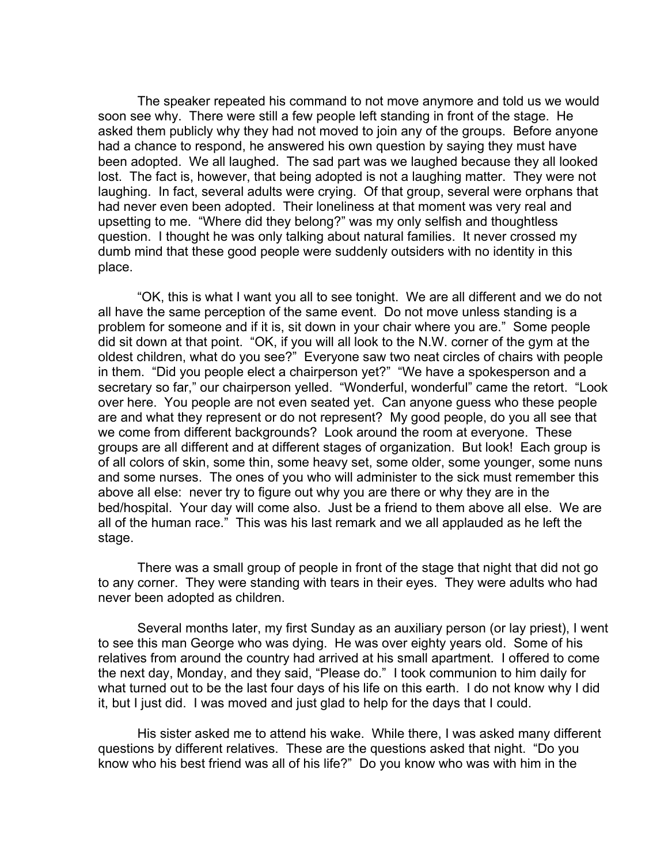The speaker repeated his command to not move anymore and told us we would soon see why. There were still a few people left standing in front of the stage. He asked them publicly why they had not moved to join any of the groups. Before anyone had a chance to respond, he answered his own question by saying they must have been adopted. We all laughed. The sad part was we laughed because they all looked lost. The fact is, however, that being adopted is not a laughing matter. They were not laughing. In fact, several adults were crying. Of that group, several were orphans that had never even been adopted. Their loneliness at that moment was very real and upsetting to me. "Where did they belong?" was my only selfish and thoughtless question. I thought he was only talking about natural families. It never crossed my dumb mind that these good people were suddenly outsiders with no identity in this place.

 "OK, this is what I want you all to see tonight. We are all different and we do not all have the same perception of the same event. Do not move unless standing is a problem for someone and if it is, sit down in your chair where you are." Some people did sit down at that point. "OK, if you will all look to the N.W. corner of the gym at the oldest children, what do you see?" Everyone saw two neat circles of chairs with people in them. "Did you people elect a chairperson yet?" "We have a spokesperson and a secretary so far," our chairperson yelled. "Wonderful, wonderful" came the retort. "Look over here. You people are not even seated yet. Can anyone guess who these people are and what they represent or do not represent? My good people, do you all see that we come from different backgrounds? Look around the room at everyone. These groups are all different and at different stages of organization. But look! Each group is of all colors of skin, some thin, some heavy set, some older, some younger, some nuns and some nurses. The ones of you who will administer to the sick must remember this above all else: never try to figure out why you are there or why they are in the bed/hospital. Your day will come also. Just be a friend to them above all else. We are all of the human race." This was his last remark and we all applauded as he left the stage.

 There was a small group of people in front of the stage that night that did not go to any corner. They were standing with tears in their eyes. They were adults who had never been adopted as children.

 Several months later, my first Sunday as an auxiliary person (or lay priest), I went to see this man George who was dying. He was over eighty years old. Some of his relatives from around the country had arrived at his small apartment. I offered to come the next day, Monday, and they said, "Please do." I took communion to him daily for what turned out to be the last four days of his life on this earth. I do not know why I did it, but I just did. I was moved and just glad to help for the days that I could.

 His sister asked me to attend his wake. While there, I was asked many different questions by different relatives. These are the questions asked that night. "Do you know who his best friend was all of his life?" Do you know who was with him in the